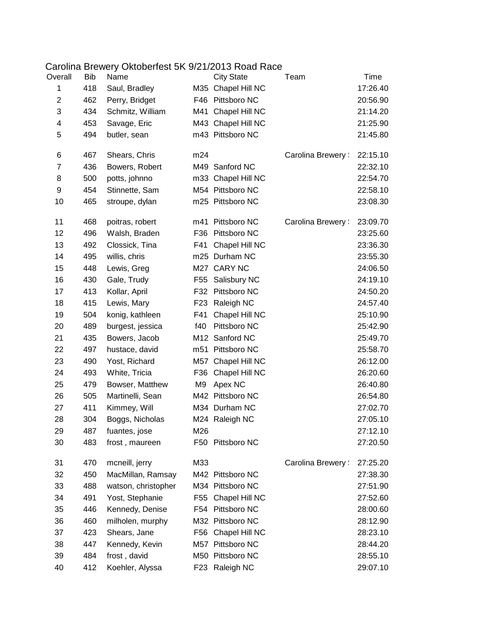## Carolina Brewery Oktoberfest 5K 9/21/2013 Road Race

| Overall          | Bib | Name                |     | <b>City State</b>  | Team             | Time     |
|------------------|-----|---------------------|-----|--------------------|------------------|----------|
| 1                | 418 | Saul, Bradley       |     | M35 Chapel Hill NC |                  | 17:26.40 |
| $\overline{c}$   | 462 | Perry, Bridget      |     | F46 Pittsboro NC   |                  | 20:56.90 |
| 3                | 434 | Schmitz, William    | M41 | Chapel Hill NC     |                  | 21:14.20 |
| 4                | 453 | Savage, Eric        |     | M43 Chapel Hill NC |                  | 21:25.90 |
| 5                | 494 | butler, sean        |     | m43 Pittsboro NC   |                  | 21:45.80 |
| 6                | 467 | Shears, Chris       | m24 |                    | Carolina Brewery | 22:15.10 |
| $\overline{7}$   | 436 | Bowers, Robert      |     | M49 Sanford NC     |                  | 22:32.10 |
| 8                | 500 | potts, johnno       |     | m33 Chapel Hill NC |                  | 22:54.70 |
| $\boldsymbol{9}$ | 454 | Stinnette, Sam      |     | M54 Pittsboro NC   |                  | 22:58.10 |
| 10               | 465 | stroupe, dylan      |     | m25 Pittsboro NC   |                  | 23:08.30 |
| 11               | 468 | poitras, robert     | m41 | Pittsboro NC       | Carolina Brewery | 23:09.70 |
| 12               | 496 | Walsh, Braden       |     | F36 Pittsboro NC   |                  | 23:25.60 |
| 13               | 492 | Clossick, Tina      | F41 | Chapel Hill NC     |                  | 23:36.30 |
| 14               | 495 | willis, chris       |     | m25 Durham NC      |                  | 23:55.30 |
| 15               | 448 | Lewis, Greg         |     | M27 CARY NC        |                  | 24:06.50 |
| 16               | 430 | Gale, Trudy         | F55 | Salisbury NC       |                  | 24:19.10 |
| 17               | 413 | Kollar, April       |     | F32 Pittsboro NC   |                  | 24:50.20 |
| 18               | 415 | Lewis, Mary         | F23 | Raleigh NC         |                  | 24:57.40 |
| 19               | 504 | konig, kathleen     | F41 | Chapel Hill NC     |                  | 25:10.90 |
| 20               | 489 | burgest, jessica    | f40 | Pittsboro NC       |                  | 25:42.90 |
| 21               | 435 | Bowers, Jacob       |     | M12 Sanford NC     |                  | 25:49.70 |
| 22               | 497 | hustace, david      |     | m51 Pittsboro NC   |                  | 25:58.70 |
| 23               | 490 | Yost, Richard       | M57 | Chapel Hill NC     |                  | 26:12.00 |
| 24               | 493 | White, Tricia       | F36 | Chapel Hill NC     |                  | 26:20.60 |
| 25               | 479 | Bowser, Matthew     | M9  | Apex NC            |                  | 26:40.80 |
| 26               | 505 | Martinelli, Sean    |     | M42 Pittsboro NC   |                  | 26:54.80 |
| 27               | 411 | Kimmey, Will        |     | M34 Durham NC      |                  | 27:02.70 |
| 28               | 304 | Boggs, Nicholas     |     | M24 Raleigh NC     |                  | 27:05.10 |
| 29               | 487 | fuantes, jose       | M26 |                    |                  | 27:12.10 |
| 30               | 483 | frost, maureen      |     | F50 Pittsboro NC   |                  | 27:20.50 |
| 31               | 470 | mcneill, jerry      | M33 |                    | Carolina Brewery | 27:25.20 |
| 32               | 450 | MacMillan, Ramsay   |     | M42 Pittsboro NC   |                  | 27:38.30 |
| 33               | 488 | watson, christopher |     | M34 Pittsboro NC   |                  | 27:51.90 |
| 34               | 491 | Yost, Stephanie     | F55 | Chapel Hill NC     |                  | 27:52.60 |
| 35               | 446 | Kennedy, Denise     | F54 | Pittsboro NC       |                  | 28:00.60 |
| 36               | 460 | milholen, murphy    |     | M32 Pittsboro NC   |                  | 28:12.90 |
| 37               | 423 | Shears, Jane        | F56 | Chapel Hill NC     |                  | 28:23.10 |
| 38               | 447 | Kennedy, Kevin      | M57 | Pittsboro NC       |                  | 28:44.20 |
| 39               | 484 | frost, david        |     | M50 Pittsboro NC   |                  | 28:55.10 |
| 40               | 412 | Koehler, Alyssa     | F23 | Raleigh NC         |                  | 29:07.10 |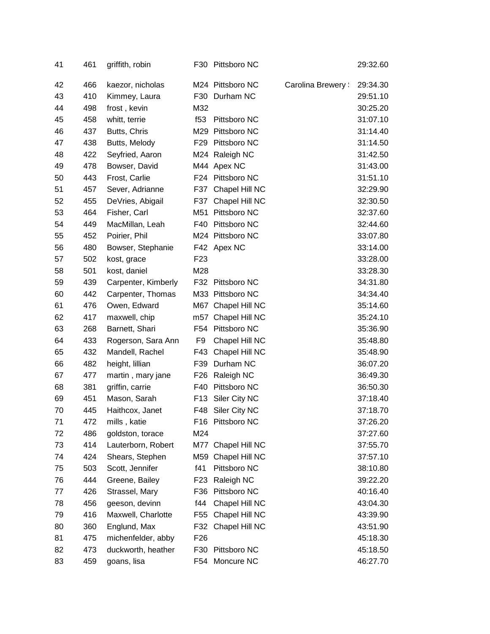| 41 | 461 | griffith, robin     |                 | F30 Pittsboro NC   |                  | 29:32.60 |
|----|-----|---------------------|-----------------|--------------------|------------------|----------|
| 42 | 466 | kaezor, nicholas    |                 | M24 Pittsboro NC   | Carolina Brewery | 29:34.30 |
| 43 | 410 | Kimmey, Laura       |                 | F30 Durham NC      |                  | 29:51.10 |
| 44 | 498 | frost, kevin        | M32             |                    |                  | 30:25.20 |
| 45 | 458 | whitt, terrie       | f53             | Pittsboro NC       |                  | 31:07.10 |
| 46 | 437 | Butts, Chris        |                 | M29 Pittsboro NC   |                  | 31:14.40 |
| 47 | 438 | Butts, Melody       |                 | F29 Pittsboro NC   |                  | 31:14.50 |
| 48 | 422 | Seyfried, Aaron     |                 | M24 Raleigh NC     |                  | 31:42.50 |
| 49 | 478 | Bowser, David       |                 | M44 Apex NC        |                  | 31:43.00 |
| 50 | 443 | Frost, Carlie       |                 | F24 Pittsboro NC   |                  | 31:51.10 |
| 51 | 457 | Sever, Adrianne     |                 | F37 Chapel Hill NC |                  | 32:29.90 |
| 52 | 455 | DeVries, Abigail    | F37             | Chapel Hill NC     |                  | 32:30.50 |
| 53 | 464 | Fisher, Carl        |                 | M51 Pittsboro NC   |                  | 32:37.60 |
| 54 | 449 | MacMillan, Leah     | F40             | Pittsboro NC       |                  | 32:44.60 |
| 55 | 452 | Poirier, Phil       |                 | M24 Pittsboro NC   |                  | 33:07.80 |
| 56 | 480 | Bowser, Stephanie   |                 | F42 Apex NC        |                  | 33:14.00 |
| 57 | 502 | kost, grace         | F <sub>23</sub> |                    |                  | 33:28.00 |
| 58 | 501 | kost, daniel        | M28             |                    |                  | 33:28.30 |
| 59 | 439 | Carpenter, Kimberly |                 | F32 Pittsboro NC   |                  | 34:31.80 |
| 60 | 442 | Carpenter, Thomas   |                 | M33 Pittsboro NC   |                  | 34:34.40 |
| 61 | 476 | Owen, Edward        |                 | M67 Chapel Hill NC |                  | 35:14.60 |
| 62 | 417 | maxwell, chip       |                 | m57 Chapel Hill NC |                  | 35:24.10 |
| 63 | 268 | Barnett, Shari      |                 | F54 Pittsboro NC   |                  | 35:36.90 |
| 64 | 433 | Rogerson, Sara Ann  | F <sub>9</sub>  | Chapel Hill NC     |                  | 35:48.80 |
| 65 | 432 | Mandell, Rachel     |                 | F43 Chapel Hill NC |                  | 35:48.90 |
| 66 | 482 | height, lillian     | F39             | Durham NC          |                  | 36:07.20 |
| 67 | 477 | martin, mary jane   | F26             | Raleigh NC         |                  | 36:49.30 |
| 68 | 381 | griffin, carrie     | F40             | Pittsboro NC       |                  | 36:50.30 |
| 69 | 451 | Mason, Sarah        | F13             | Siler City NC      |                  | 37:18.40 |
| 70 | 445 | Haithcox, Janet     | F48             | Siler City NC      |                  | 37:18.70 |
| 71 | 472 | mills, katie        |                 | F16 Pittsboro NC   |                  | 37:26.20 |
| 72 | 486 | goldston, torace    | M24             |                    |                  | 37:27.60 |
| 73 | 414 | Lauterborn, Robert  |                 | M77 Chapel Hill NC |                  | 37:55.70 |
| 74 | 424 | Shears, Stephen     |                 | M59 Chapel Hill NC |                  | 37:57.10 |
| 75 | 503 | Scott, Jennifer     | f41             | Pittsboro NC       |                  | 38:10.80 |
| 76 | 444 | Greene, Bailey      | F <sub>23</sub> | Raleigh NC         |                  | 39:22.20 |
| 77 | 426 | Strassel, Mary      | F36             | Pittsboro NC       |                  | 40:16.40 |
| 78 | 456 | geeson, devinn      | f44             | Chapel Hill NC     |                  | 43:04.30 |
| 79 | 416 | Maxwell, Charlotte  | F55             | Chapel Hill NC     |                  | 43:39.90 |
| 80 | 360 | Englund, Max        | F32             | Chapel Hill NC     |                  | 43:51.90 |
| 81 | 475 | michenfelder, abby  | F <sub>26</sub> |                    |                  | 45:18.30 |
| 82 | 473 | duckworth, heather  |                 | F30 Pittsboro NC   |                  | 45:18.50 |
| 83 | 459 | goans, lisa         |                 | F54 Moncure NC     |                  | 46:27.70 |